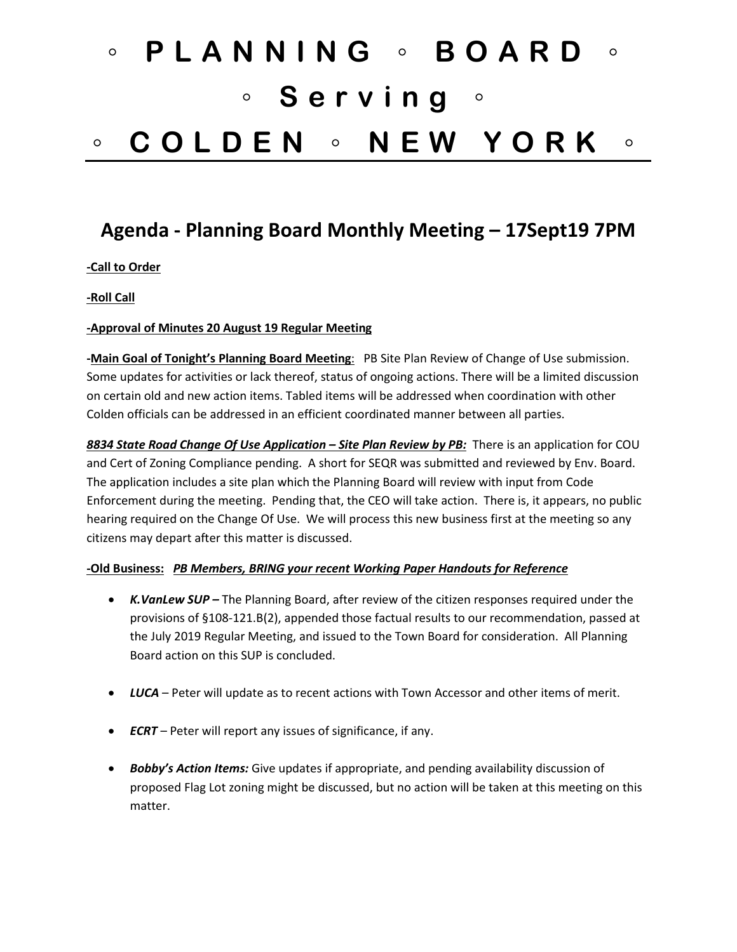# ◦ **PLANNING** ◦ **BOARD** ◦ ◦ **Serving** ◦ ◦ **COLDEN** ◦ **NEW YORK** ◦

# **Agenda - Planning Board Monthly Meeting – 17Sept19 7PM**

## **-Call to Order**

**-Roll Call**

#### **-Approval of Minutes 20 August 19 Regular Meeting**

**-Main Goal of Tonight's Planning Board Meeting**: PB Site Plan Review of Change of Use submission. Some updates for activities or lack thereof, status of ongoing actions. There will be a limited discussion on certain old and new action items. Tabled items will be addressed when coordination with other Colden officials can be addressed in an efficient coordinated manner between all parties.

*8834 State Road Change Of Use Application – Site Plan Review by PB:* There is an application for COU and Cert of Zoning Compliance pending. A short for SEQR was submitted and reviewed by Env. Board. The application includes a site plan which the Planning Board will review with input from Code Enforcement during the meeting. Pending that, the CEO will take action. There is, it appears, no public hearing required on the Change Of Use. We will process this new business first at the meeting so any citizens may depart after this matter is discussed.

#### **-Old Business:** *PB Members, BRING your recent Working Paper Handouts for Reference*

- *K.VanLew SUP –* The Planning Board, after review of the citizen responses required under the provisions of §108-121.B(2), appended those factual results to our recommendation, passed at the July 2019 Regular Meeting, and issued to the Town Board for consideration. All Planning Board action on this SUP is concluded.
- *LUCA* Peter will update as to recent actions with Town Accessor and other items of merit.
- *ECRT*  Peter will report any issues of significance, if any.
- *Bobby's Action Items:* Give updates if appropriate, and pending availability discussion of proposed Flag Lot zoning might be discussed, but no action will be taken at this meeting on this matter.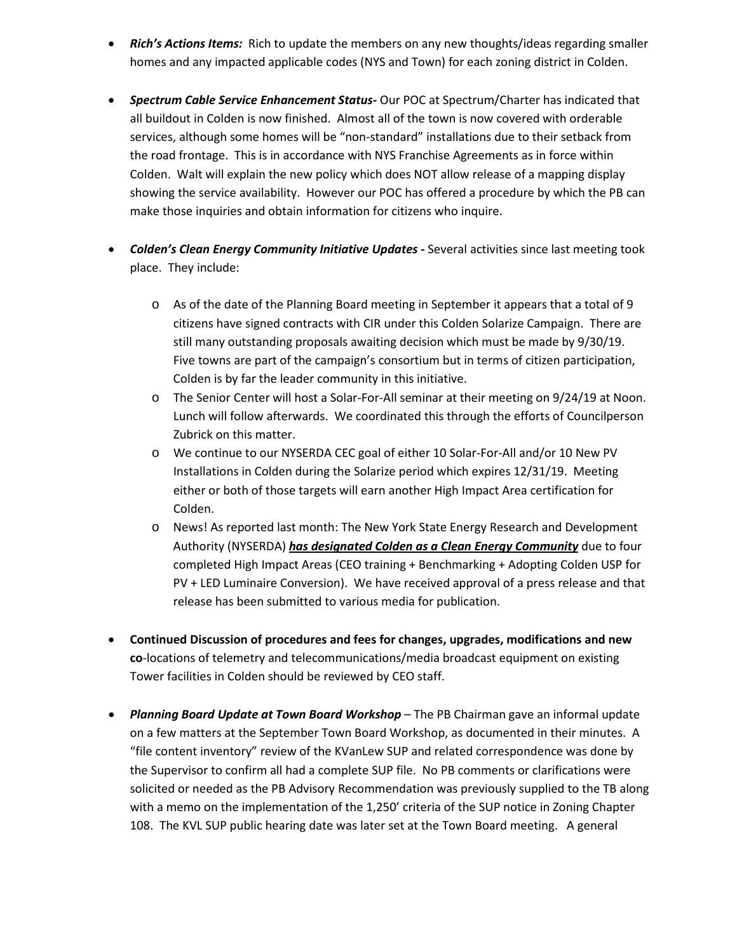- *Rich's Actions Items:* Rich to update the members on any new thoughts/ideas regarding smaller homes and any impacted applicable codes (NYS and Town) for each zoning district in Colden.
- *Spectrum Cable Service Enhancement Status-* Our POC at Spectrum/Charter has indicated that all buildout in Colden is now finished. Almost all of the town is now covered with orderable services, although some homes will be "non-standard" installations due to their setback from the road frontage. This is in accordance with NYS Franchise Agreements as in force within Colden. Walt will explain the new policy which does NOT allow release of a mapping display showing the service availability. However our POC has offered a procedure by which the PB can make those inquiries and obtain information for citizens who inquire.
- *Colden's Clean Energy Community Initiative Updates -* Several activities since last meeting took place. They include:
	- o As of the date of the Planning Board meeting in September it appears that a total of 9 citizens have signed contracts with CIR under this Colden Solarize Campaign. There are still many outstanding proposals awaiting decision which must be made by 9/30/19. Five towns are part of the campaign's consortium but in terms of citizen participation, Colden is by far the leader community in this initiative.
	- o The Senior Center will host a Solar-For-All seminar at their meeting on 9/24/19 at Noon. Lunch will follow afterwards. We coordinated this through the efforts of Councilperson Zubrick on this matter.
	- o We continue to our NYSERDA CEC goal of either 10 Solar-For-All and/or 10 New PV Installations in Colden during the Solarize period which expires 12/31/19. Meeting either or both of those targets will earn another High Impact Area certification for Colden.
	- o News! As reported last month: The New York State Energy Research and Development Authority (NYSERDA) *has designated Colden as a Clean Energy Community* due to four completed High Impact Areas (CEO training + Benchmarking + Adopting Colden USP for PV + LED Luminaire Conversion). We have received approval of a press release and that release has been submitted to various media for publication.
- **Continued Discussion of procedures and fees for changes, upgrades, modifications and new co**-locations of telemetry and telecommunications/media broadcast equipment on existing Tower facilities in Colden should be reviewed by CEO staff.
- *Planning Board Update at Town Board Workshop* The PB Chairman gave an informal update on a few matters at the September Town Board Workshop, as documented in their minutes. A "file content inventory" review of the KVanLew SUP and related correspondence was done by the Supervisor to confirm all had a complete SUP file. No PB comments or clarifications were solicited or needed as the PB Advisory Recommendation was previously supplied to the TB along with a memo on the implementation of the 1,250' criteria of the SUP notice in Zoning Chapter 108. The KVL SUP public hearing date was later set at the Town Board meeting. A general